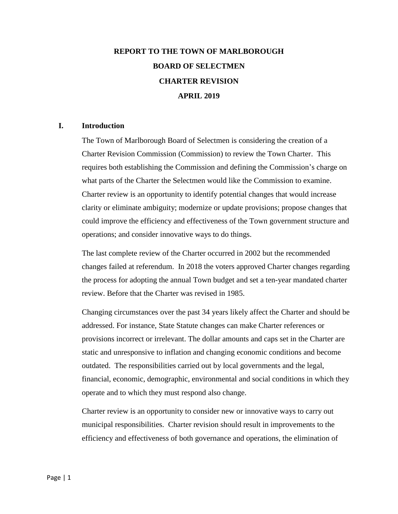# **REPORT TO THE TOWN OF MARLBOROUGH BOARD OF SELECTMEN CHARTER REVISION APRIL 2019**

#### **I. Introduction**

The Town of Marlborough Board of Selectmen is considering the creation of a Charter Revision Commission (Commission) to review the Town Charter. This requires both establishing the Commission and defining the Commission's charge on what parts of the Charter the Selectmen would like the Commission to examine. Charter review is an opportunity to identify potential changes that would increase clarity or eliminate ambiguity; modernize or update provisions; propose changes that could improve the efficiency and effectiveness of the Town government structure and operations; and consider innovative ways to do things.

The last complete review of the Charter occurred in 2002 but the recommended changes failed at referendum. In 2018 the voters approved Charter changes regarding the process for adopting the annual Town budget and set a ten-year mandated charter review. Before that the Charter was revised in 1985.

Changing circumstances over the past 34 years likely affect the Charter and should be addressed. For instance, State Statute changes can make Charter references or provisions incorrect or irrelevant. The dollar amounts and caps set in the Charter are static and unresponsive to inflation and changing economic conditions and become outdated. The responsibilities carried out by local governments and the legal, financial, economic, demographic, environmental and social conditions in which they operate and to which they must respond also change.

Charter review is an opportunity to consider new or innovative ways to carry out municipal responsibilities. Charter revision should result in improvements to the efficiency and effectiveness of both governance and operations, the elimination of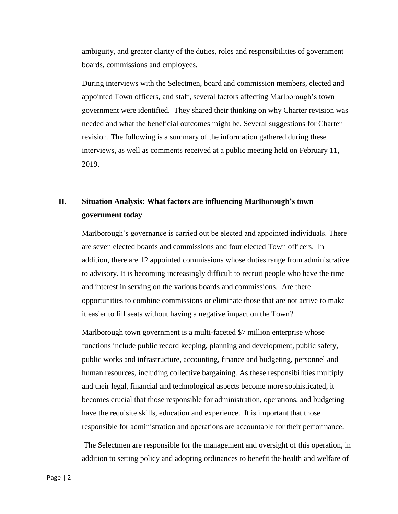ambiguity, and greater clarity of the duties, roles and responsibilities of government boards, commissions and employees.

During interviews with the Selectmen, board and commission members, elected and appointed Town officers, and staff, several factors affecting Marlborough's town government were identified. They shared their thinking on why Charter revision was needed and what the beneficial outcomes might be. Several suggestions for Charter revision. The following is a summary of the information gathered during these interviews, as well as comments received at a public meeting held on February 11, 2019.

# **II. Situation Analysis: What factors are influencing Marlborough's town government today**

Marlborough's governance is carried out be elected and appointed individuals. There are seven elected boards and commissions and four elected Town officers. In addition, there are 12 appointed commissions whose duties range from administrative to advisory. It is becoming increasingly difficult to recruit people who have the time and interest in serving on the various boards and commissions. Are there opportunities to combine commissions or eliminate those that are not active to make it easier to fill seats without having a negative impact on the Town?

Marlborough town government is a multi-faceted \$7 million enterprise whose functions include public record keeping, planning and development, public safety, public works and infrastructure, accounting, finance and budgeting, personnel and human resources, including collective bargaining. As these responsibilities multiply and their legal, financial and technological aspects become more sophisticated, it becomes crucial that those responsible for administration, operations, and budgeting have the requisite skills, education and experience. It is important that those responsible for administration and operations are accountable for their performance.

The Selectmen are responsible for the management and oversight of this operation, in addition to setting policy and adopting ordinances to benefit the health and welfare of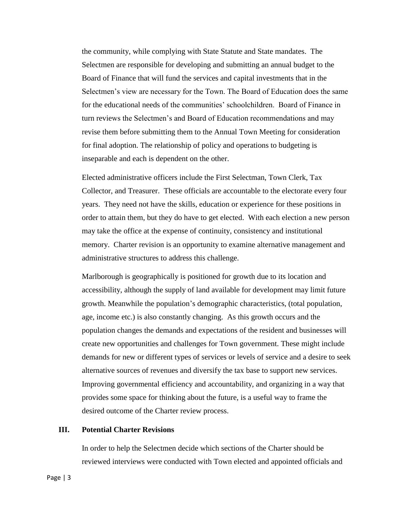the community, while complying with State Statute and State mandates. The Selectmen are responsible for developing and submitting an annual budget to the Board of Finance that will fund the services and capital investments that in the Selectmen's view are necessary for the Town. The Board of Education does the same for the educational needs of the communities' schoolchildren. Board of Finance in turn reviews the Selectmen's and Board of Education recommendations and may revise them before submitting them to the Annual Town Meeting for consideration for final adoption. The relationship of policy and operations to budgeting is inseparable and each is dependent on the other.

Elected administrative officers include the First Selectman, Town Clerk, Tax Collector, and Treasurer. These officials are accountable to the electorate every four years. They need not have the skills, education or experience for these positions in order to attain them, but they do have to get elected. With each election a new person may take the office at the expense of continuity, consistency and institutional memory. Charter revision is an opportunity to examine alternative management and administrative structures to address this challenge.

Marlborough is geographically is positioned for growth due to its location and accessibility, although the supply of land available for development may limit future growth. Meanwhile the population's demographic characteristics, (total population, age, income etc.) is also constantly changing. As this growth occurs and the population changes the demands and expectations of the resident and businesses will create new opportunities and challenges for Town government. These might include demands for new or different types of services or levels of service and a desire to seek alternative sources of revenues and diversify the tax base to support new services. Improving governmental efficiency and accountability, and organizing in a way that provides some space for thinking about the future, is a useful way to frame the desired outcome of the Charter review process.

# **III. Potential Charter Revisions**

In order to help the Selectmen decide which sections of the Charter should be reviewed interviews were conducted with Town elected and appointed officials and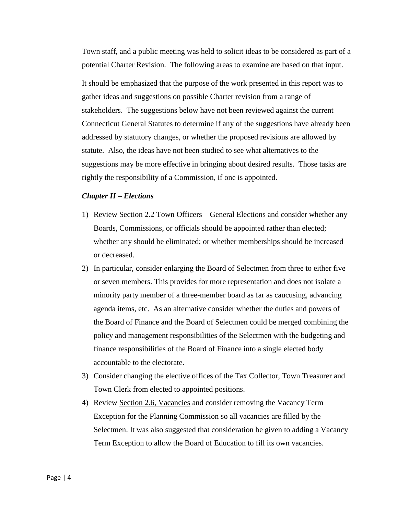Town staff, and a public meeting was held to solicit ideas to be considered as part of a potential Charter Revision. The following areas to examine are based on that input.

It should be emphasized that the purpose of the work presented in this report was to gather ideas and suggestions on possible Charter revision from a range of stakeholders. The suggestions below have not been reviewed against the current Connecticut General Statutes to determine if any of the suggestions have already been addressed by statutory changes, or whether the proposed revisions are allowed by statute. Also, the ideas have not been studied to see what alternatives to the suggestions may be more effective in bringing about desired results. Those tasks are rightly the responsibility of a Commission, if one is appointed.

#### *Chapter II – Elections*

- 1) Review Section 2.2 Town Officers General Elections and consider whether any Boards, Commissions, or officials should be appointed rather than elected; whether any should be eliminated; or whether memberships should be increased or decreased.
- 2) In particular, consider enlarging the Board of Selectmen from three to either five or seven members. This provides for more representation and does not isolate a minority party member of a three-member board as far as caucusing, advancing agenda items, etc. As an alternative consider whether the duties and powers of the Board of Finance and the Board of Selectmen could be merged combining the policy and management responsibilities of the Selectmen with the budgeting and finance responsibilities of the Board of Finance into a single elected body accountable to the electorate.
- 3) Consider changing the elective offices of the Tax Collector, Town Treasurer and Town Clerk from elected to appointed positions.
- 4) Review Section 2.6, Vacancies and consider removing the Vacancy Term Exception for the Planning Commission so all vacancies are filled by the Selectmen. It was also suggested that consideration be given to adding a Vacancy Term Exception to allow the Board of Education to fill its own vacancies.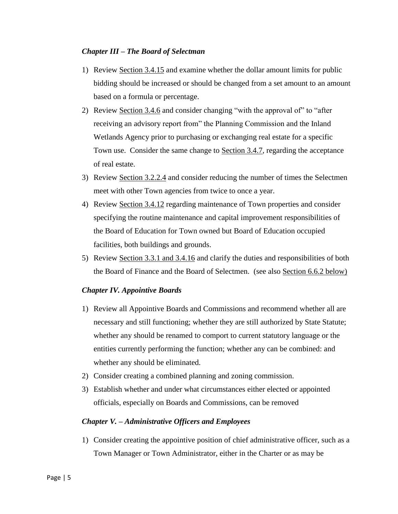## *Chapter III – The Board of Selectman*

- 1) Review Section 3.4.15 and examine whether the dollar amount limits for public bidding should be increased or should be changed from a set amount to an amount based on a formula or percentage.
- 2) Review Section 3.4.6 and consider changing "with the approval of" to "after receiving an advisory report from" the Planning Commission and the Inland Wetlands Agency prior to purchasing or exchanging real estate for a specific Town use. Consider the same change to Section 3.4.7, regarding the acceptance of real estate.
- 3) Review Section 3.2.2.4 and consider reducing the number of times the Selectmen meet with other Town agencies from twice to once a year.
- 4) Review Section 3.4.12 regarding maintenance of Town properties and consider specifying the routine maintenance and capital improvement responsibilities of the Board of Education for Town owned but Board of Education occupied facilities, both buildings and grounds.
- 5) Review Section 3.3.1 and 3.4.16 and clarify the duties and responsibilities of both the Board of Finance and the Board of Selectmen. (see also Section 6.6.2 below)

# *Chapter IV. Appointive Boards*

- 1) Review all Appointive Boards and Commissions and recommend whether all are necessary and still functioning; whether they are still authorized by State Statute; whether any should be renamed to comport to current statutory language or the entities currently performing the function; whether any can be combined: and whether any should be eliminated.
- 2) Consider creating a combined planning and zoning commission.
- 3) Establish whether and under what circumstances either elected or appointed officials, especially on Boards and Commissions, can be removed

#### *Chapter V. – Administrative Officers and Employees*

1) Consider creating the appointive position of chief administrative officer, such as a Town Manager or Town Administrator, either in the Charter or as may be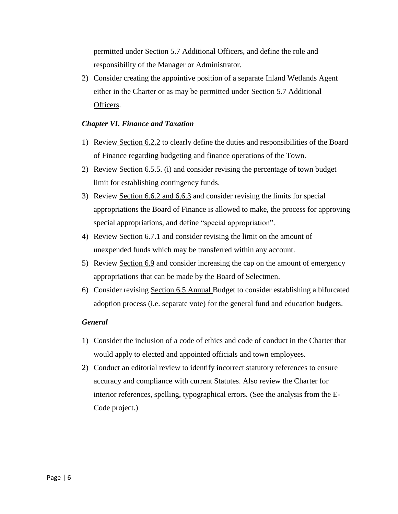permitted under Section 5.7 Additional Officers, and define the role and responsibility of the Manager or Administrator.

2) Consider creating the appointive position of a separate Inland Wetlands Agent either in the Charter or as may be permitted under Section 5.7 Additional Officers.

## *Chapter VI. Finance and Taxation*

- 1) Review Section 6.2.2 to clearly define the duties and responsibilities of the Board of Finance regarding budgeting and finance operations of the Town.
- 2) Review Section 6.5.5. (i) and consider revising the percentage of town budget limit for establishing contingency funds.
- 3) Review Section 6.6.2 and 6.6.3 and consider revising the limits for special appropriations the Board of Finance is allowed to make, the process for approving special appropriations, and define "special appropriation".
- 4) Review Section 6.7.1 and consider revising the limit on the amount of unexpended funds which may be transferred within any account.
- 5) Review Section 6.9 and consider increasing the cap on the amount of emergency appropriations that can be made by the Board of Selectmen.
- 6) Consider revising Section 6.5 Annual Budget to consider establishing a bifurcated adoption process (i.e. separate vote) for the general fund and education budgets.

#### *General*

- 1) Consider the inclusion of a code of ethics and code of conduct in the Charter that would apply to elected and appointed officials and town employees.
- 2) Conduct an editorial review to identify incorrect statutory references to ensure accuracy and compliance with current Statutes. Also review the Charter for interior references, spelling, typographical errors. (See the analysis from the E-Code project.)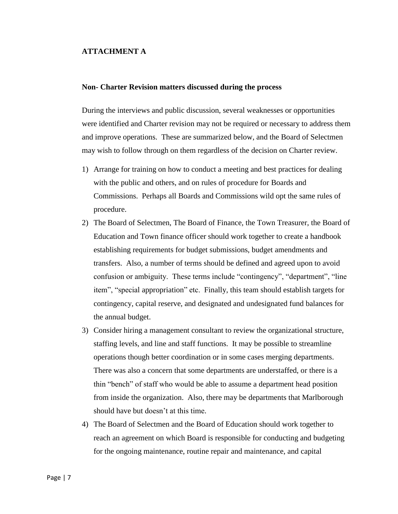#### **ATTACHMENT A**

#### **Non- Charter Revision matters discussed during the process**

During the interviews and public discussion, several weaknesses or opportunities were identified and Charter revision may not be required or necessary to address them and improve operations. These are summarized below, and the Board of Selectmen may wish to follow through on them regardless of the decision on Charter review.

- 1) Arrange for training on how to conduct a meeting and best practices for dealing with the public and others, and on rules of procedure for Boards and Commissions. Perhaps all Boards and Commissions wild opt the same rules of procedure.
- 2) The Board of Selectmen, The Board of Finance, the Town Treasurer, the Board of Education and Town finance officer should work together to create a handbook establishing requirements for budget submissions, budget amendments and transfers. Also, a number of terms should be defined and agreed upon to avoid confusion or ambiguity. These terms include "contingency", "department", "line item", "special appropriation" etc. Finally, this team should establish targets for contingency, capital reserve, and designated and undesignated fund balances for the annual budget.
- 3) Consider hiring a management consultant to review the organizational structure, staffing levels, and line and staff functions. It may be possible to streamline operations though better coordination or in some cases merging departments. There was also a concern that some departments are understaffed, or there is a thin "bench" of staff who would be able to assume a department head position from inside the organization. Also, there may be departments that Marlborough should have but doesn't at this time.
- 4) The Board of Selectmen and the Board of Education should work together to reach an agreement on which Board is responsible for conducting and budgeting for the ongoing maintenance, routine repair and maintenance, and capital